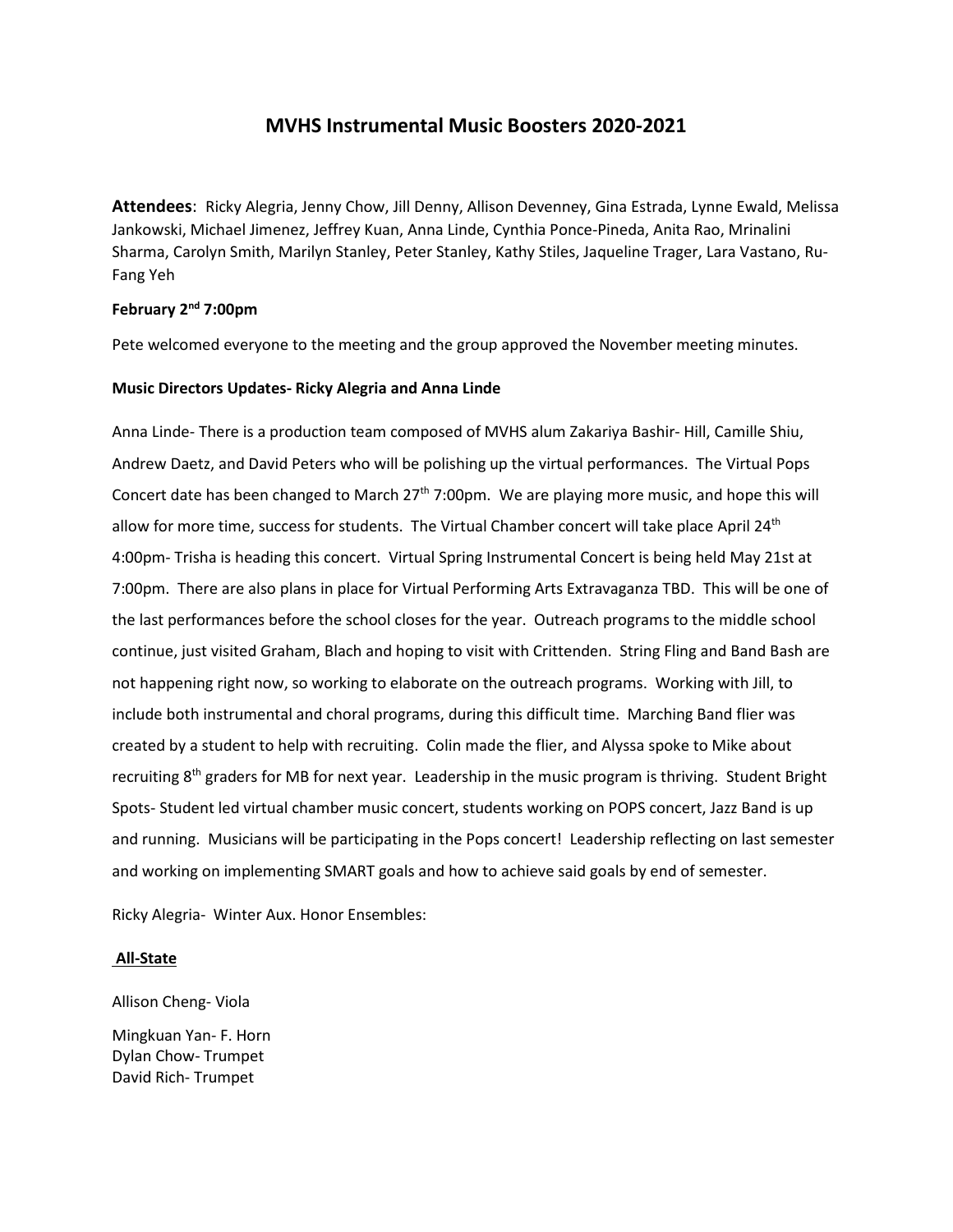# **MVHS Instrumental Music Boosters 2020-2021**

**Attendees**: Ricky Alegria, Jenny Chow, Jill Denny, Allison Devenney, Gina Estrada, Lynne Ewald, Melissa Jankowski, Michael Jimenez, Jeffrey Kuan, Anna Linde, Cynthia Ponce-Pineda, Anita Rao, Mrinalini Sharma, Carolyn Smith, Marilyn Stanley, Peter Stanley, Kathy Stiles, Jaqueline Trager, Lara Vastano, Ru-Fang Yeh

# **February 2nd 7:00pm**

Pete welcomed everyone to the meeting and the group approved the November meeting minutes.

## **Music Directors Updates- Ricky Alegria and Anna Linde**

Anna Linde- There is a production team composed of MVHS alum Zakariya Bashir- Hill, Camille Shiu, Andrew Daetz, and David Peters who will be polishing up the virtual performances. The Virtual Pops Concert date has been changed to March 27<sup>th</sup> 7:00pm. We are playing more music, and hope this will allow for more time, success for students. The Virtual Chamber concert will take place April 24<sup>th</sup> 4:00pm- Trisha is heading this concert. Virtual Spring Instrumental Concert is being held May 21st at 7:00pm. There are also plans in place for Virtual Performing Arts Extravaganza TBD. This will be one of the last performances before the school closes for the year. Outreach programs to the middle school continue, just visited Graham, Blach and hoping to visit with Crittenden. String Fling and Band Bash are not happening right now, so working to elaborate on the outreach programs. Working with Jill, to include both instrumental and choral programs, during this difficult time. Marching Band flier was created by a student to help with recruiting. Colin made the flier, and Alyssa spoke to Mike about recruiting 8<sup>th</sup> graders for MB for next year. Leadership in the music program is thriving. Student Bright Spots- Student led virtual chamber music concert, students working on POPS concert, Jazz Band is up and running. Musicians will be participating in the Pops concert! Leadership reflecting on last semester and working on implementing SMART goals and how to achieve said goals by end of semester.

Ricky Alegria- Winter Aux. Honor Ensembles:

# **All-State**

Allison Cheng- Viola

Mingkuan Yan- F. Horn Dylan Chow- Trumpet David Rich- Trumpet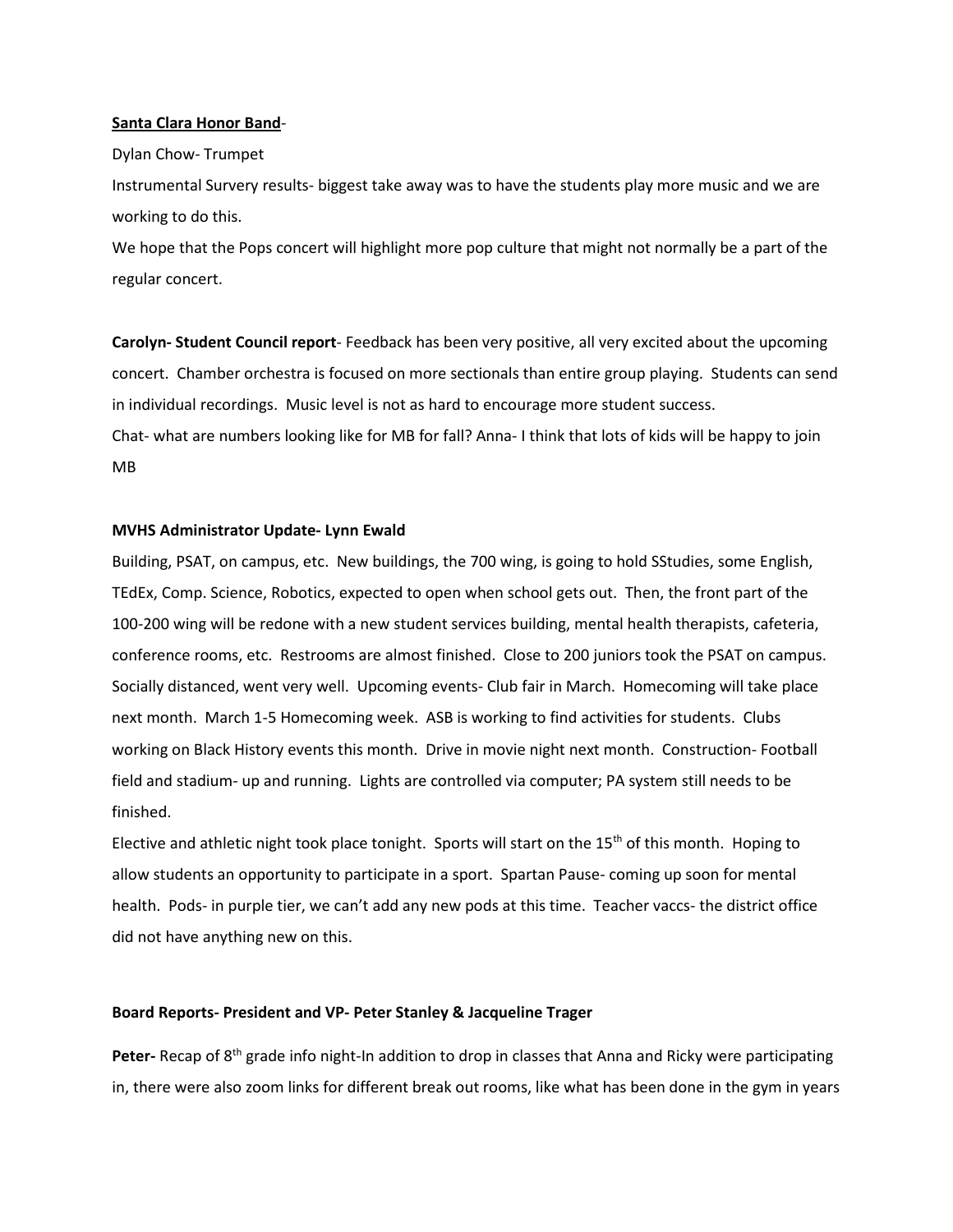#### **Santa Clara Honor Band**-

#### Dylan Chow- Trumpet

Instrumental Survery results- biggest take away was to have the students play more music and we are working to do this.

We hope that the Pops concert will highlight more pop culture that might not normally be a part of the regular concert.

**Carolyn- Student Council report**- Feedback has been very positive, all very excited about the upcoming concert. Chamber orchestra is focused on more sectionals than entire group playing. Students can send in individual recordings. Music level is not as hard to encourage more student success. Chat- what are numbers looking like for MB for fall? Anna- I think that lots of kids will be happy to join MB

### **MVHS Administrator Update- Lynn Ewald**

Building, PSAT, on campus, etc. New buildings, the 700 wing, is going to hold SStudies, some English, TEdEx, Comp. Science, Robotics, expected to open when school gets out. Then, the front part of the 100-200 wing will be redone with a new student services building, mental health therapists, cafeteria, conference rooms, etc. Restrooms are almost finished. Close to 200 juniors took the PSAT on campus. Socially distanced, went very well. Upcoming events- Club fair in March. Homecoming will take place next month. March 1-5 Homecoming week. ASB is working to find activities for students. Clubs working on Black History events this month. Drive in movie night next month. Construction- Football field and stadium- up and running. Lights are controlled via computer; PA system still needs to be finished.

Elective and athletic night took place tonight. Sports will start on the  $15<sup>th</sup>$  of this month. Hoping to allow students an opportunity to participate in a sport. Spartan Pause- coming up soon for mental health. Pods- in purple tier, we can't add any new pods at this time. Teacher vaccs- the district office did not have anything new on this.

### **Board Reports- President and VP- Peter Stanley & Jacqueline Trager**

**Peter-** Recap of 8<sup>th</sup> grade info night-In addition to drop in classes that Anna and Ricky were participating in, there were also zoom links for different break out rooms, like what has been done in the gym in years